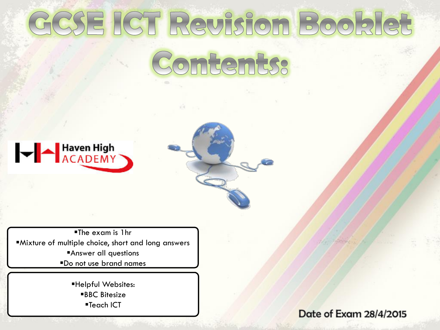# GCSE ICT Revision Booklet Contents:



The exam is 1hr Mixture of multiple choice, short and long answers Answer all questions Do not use brand names

> Helpful Websites: ■BBC Bitesize ■Teach ICT

Date of Exam 28/4/2015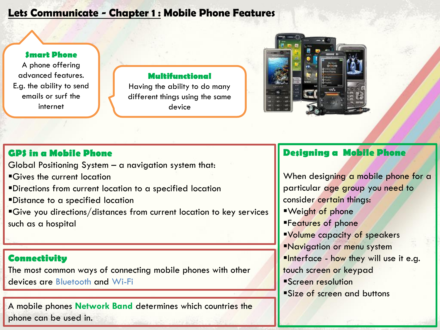#### Lets Communicate - Chapter 1 : Mobile Phone Features

#### **Smart Phone**

A phone offering advanced features. E.g. the ability to send emails or surf the internet

#### **Multifunctional**

Having the ability to do many different things using the same device



#### **GPS in a Mobile Phone**

Global Positioning System – a navigation system that:

Gives the current location

Directions from current location to a specified location

Distance to a specified location

Give you directions/distances from current location to key services such as a hospital

#### **Connectivity**

The most common ways of connecting mobile phones with other devices are Bluetooth and Wi-Fi

A mobile phones **Network Band** determines which countries the phone can be used in.

#### **Designing a Mobile Phone**

When designing a mobile phone for a particular age group you need to consider certain things: Weight of phone **Features of phone** Volume capacity of speakers **Navigation or menu system**  $\blacksquare$ Interface - how they will use it e.g. touch screen or keypad Screen resolution Size of screen and buttons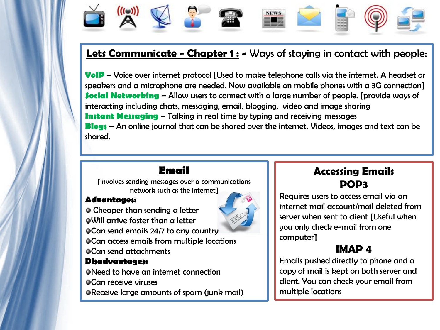

## Lets Communicate - Chapter 1 : - Ways of staying in contact with people:

**VoIP** – Voice over internet protocol [Used to make telephone calls via the internet. A headset or speakers and a microphone are needed. Now available on mobile phones with a 3G connection] **Social Networking** – Allow users to connect with a large number of people. [provide ways of interacting including chats, messaging, email, blogging, video and image sharing **Instant Messaging** – Talking in real time by typing and receiving messages **Blogs** – An online journal that can be shared over the internet. Videos, images and text can be shared.

#### **Email**

[involves sending messages over a communications network such as the internet]

#### **Advantages:**

Cheaper than sending a letter Will arrive faster than a letter Can send emails 24/7 to any country Can access emails from multiple locations Can send attachments

#### **Disadvantages:**

Need to have an internet connection Can receive viruses Receive large amounts of spam (junk mail)



## **Accessing Emails** POP3

Requires users to access email via an internet mail account/mail deleted from server when sent to client [Useful when you only check e-mail from one computer]

## IMAP 4

Emails pushed directly to phone and a copy of mail is kept on both server and client. You can check your email from multiple locations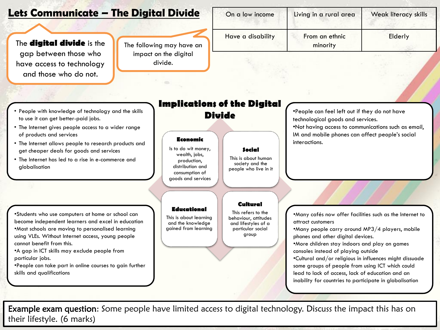#### Lets Communicate – The Digital Divide

The **digital divide** is the gap between those who have access to technology and those who do not.

The following may have an impact on the digital divide.

| On a low income   | Living in a rural area     | Weak literacy skills |
|-------------------|----------------------------|----------------------|
| Have a disability | From an ethnic<br>minority | Elderly              |

#### • People with knowledge of technology and the skills to use it can get better-paid jobs.

- The Internet gives people access to a wider range of products and services
- The Internet allows people to research products and get cheaper deals for goods and services
- The Internet has led to a rise in e-commerce and globalisation

•Students who use computers at home or school can become independent learners and excel in education •Most schools are moving to personalised learning using VLEs. Without Internet access, young people cannot benefit from this.

•A gap in ICT skills may exclude people from particular jobs.

•People can take part in online courses to gain further skills and qualifications

## **Implications of the Digital**

#### **Economic**

Is to do wit money, wealth, jobs, production, distribution and consumption of goods and services

**Educational** This is about learning and the knowledge gained from learning

#### **Social**

This is about human society and the people who live in it

#### **Cultural**

This refers to the behaviour, attitudes and lifestyles of a particular social group

**Divide** •People can feel left out if they do not have technological goods and services.

> •Not having access to communications such as email, IM and mobile phones can affect people's social interactions.

> •Many cafés now offer facilities such as the Internet to attract customers

•Many people carry around MP3/4 players, mobile phones and other digital devices.

•More children stay indoors and play on games consoles instead of playing outside

•Cultural and/or religious in influences might dissuade some groups of people from using ICT which could lead to lack of access, lack of education and an inability for countries to participate in globalisation

**Example exam question:** Some people have limited access to digital technology. Discuss the impact this has on their lifestyle. (6 marks)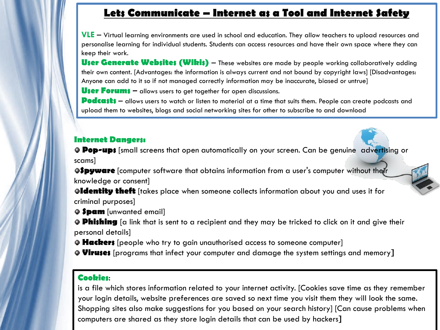#### **Lets Communicate – Internet as a Tool and Internet Safety**

**VLE** – Virtual learning environments are used in school and education. They allow teachers to upload resources and personalise learning for individual students. Students can access resources and have their own space where they can keep their work.

**User Generate Websites (Wikis)** – These websites are made by people working collaboratively adding their own content. [Advantages: the information is always current and not bound by copyright laws] [Disadvantages: Anyone can add to it so if not managed correctly information may be inaccurate, biased or untrue]

**User Forums** – allows users to get together for open discussions.

**Podcasts** – allows users to watch or listen to material at a time that suits them. People can create podcasts and upload them to websites, blogs and social networking sites for other to subscribe to and download

#### **Internet Dangers:**

**Pop-ups** [small screens that open automatically on your screen. Can be genuine advertising or scams]

**Spyware** [computer software that obtains information from a user's computer without their knowledge or consent]

**Identity theft** [takes place when someone collects information about you and uses it for criminal purposes]

**Spam** [unwanted email]

**Phishing** [a link that is sent to a recipient and they may be tricked to click on it and give their personal details]

**• Hackers** [people who try to gain unauthorised access to someone computer]

**Viruses** [programs that infect your computer and damage the system settings and memory]

#### **Cookies**:

is a file which stores information related to your internet activity. [Cookies save time as they remember your login details, website preferences are saved so next time you visit them they will look the same. Shopping sites also make suggestions for you based on your search history] [Can cause problems when computers are shared as they store login details that can be used by hackers]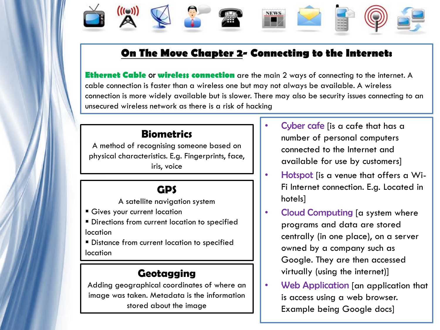## **On The Move Chapter 2- Connecting to the Internet:**

**NEWS** 

**Ethernet Cable or wireless connection** are the main 2 ways of connecting to the internet. A cable connection is faster than a wireless one but may not always be available. A wireless connection is more widely available but is slower. There may also be security issues connecting to an unsecured wireless network as there is a risk of hacking

#### **Biometrics**

A method of recognising someone based on physical characteristics. E.g. Fingerprints, face, iris, voice

#### **GPS**

A satellite navigation system

- Gives your current location
- **Directions from current location to specified** location
- **Distance from current location to specified** location

#### **Geotagging**

Adding geographical coordinates of where an image was taken. Metadata is the information stored about the image

- Cyber cafe [is a cafe that has a number of personal computers connected to the Internet and available for use by customers]
- Hotspot [is a venue that offers a Wi-Fi Internet connection. E.g. Located in hotels]
- Cloud Computing [a system where programs and data are stored centrally (in one place), on a server owned by a company such as Google. They are then accessed virtually (using the internet)]
- Web Application [an application that is access using a web browser. Example being Google docs]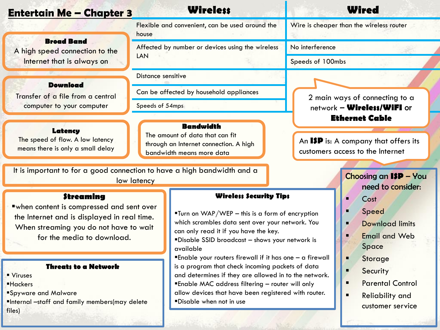#### Entertain Me – Chapter 3

#### **Wireless Wired**

Wire is cheaper than the wireless router

**Broad Band**

A high speed connection to the Internet that is always on

#### **Download**

Transfer of a file from a central computer to your computer

#### **Latency**

The speed of flow. A low latency means there is only a small delay

It is important to for a good connection to have a high bandwidth and a low latency

#### **Streaming**

when content is compressed and sent over the Internet and is displayed in real time. When streaming you do not have to wait for the media to download.

#### **Threats to a Network**

- Viruses Hackers
- 
- Spyware and Malware
- Internal –staff and family members(may delete files)

Flexible and convenient, can be used around the house Affected by number or devices using the wireless LAN

Distance sensitive

Can be affected by household appliances

Speeds of 54mps

#### **Bandwidth**

The amount of data that can fit through an Internet connection. A high bandwidth means more data

#### **Wireless Security Tips**

- Turn on WAP/WEP this is a form of encryption which scrambles data sent over your network. You can only read it if you have the key.
- Disable SSID broadcast shows your network is available
- Enable your routers firewall if it has one a firewall is a program that check incoming packets of data and determines if they are allowed in to the network.
- Enable MAC address filtering router will only
- allow devices that have been registered with router.
- Disable when not in use

No interference

Speeds of 100mbs

2 main ways of connecting to a network – **Wireless/WiFI** or **Ethernet Cable**

An **ISP** is: A company that offers its customers access to the Internet

#### Choosing an **ISP** – You

need to consider:

- **Cost**
- **Speed**
- **Parameter Download limits**
- **Fmail and Web** Space
- **Storage**
- **Security**
- **Parental Control**
- **Reliability and** customer service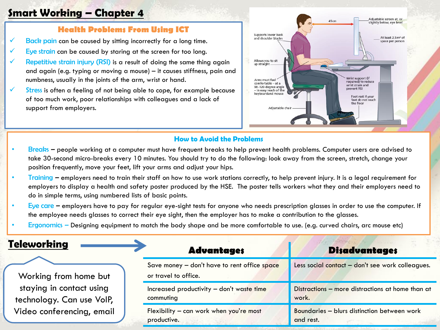#### Smart Working – Chapter 4

#### **Health Problems From Using ICT**

- $\checkmark$  Back pain can be caused by sitting incorrectly for a long time.
- Eye strain can be caused by staring at the screen for too long.
- Repetitive strain injury (RSI) is a result of doing the same thing again and again (e.g. typing or moving a mouse) – it causes stiffness, pain and numbness, usually in the joints of the arm, wrist or hand.
- $\checkmark$  Stress is often a feeling of not being able to cope, for example because of too much work, poor relationships with colleagues and a lack of support from employers.



#### How to Avoid the Problems

- Breaks people working at a computer must have frequent breaks to help prevent health problems. Computer users are advised to take 30-second micro-breaks every 10 minutes. You should try to do the following: look away from the screen, stretch, change your position frequently, move your feet, lift your arms and adjust your hips.
- Training employers need to train their staff on how to use work stations correctly, to help prevent injury. It is a legal requirement for employers to display a health and safety poster produced by the HSE. The poster tells workers what they and their employers need to do in simple terms, using numbered lists of basic points.
- Eye care employers have to pay for regular eye-sight tests for anyone who needs prescription glasses in order to use the computer. If the employee needs glasses to correct their eye sight, then the employer has to make a contribution to the glasses.
- Ergonomics Designing equipment to match the body shape and be more comfortable to use. (e.g. curved chairs, arc mouse etc)

| <b>Teleworking</b>                                    | <b>Advantages</b>                                                    | <b>Disadvantages</b>                                      |
|-------------------------------------------------------|----------------------------------------------------------------------|-----------------------------------------------------------|
| Working from home but                                 | Save money - don't have to rent office space<br>or travel to office. | Less social contact - don't see work colleagues.          |
| staying in contact using<br>technology. Can use VoIP, | Increased productivity - don't waste time<br>commuting               | Distractions - more distractions at home than at<br>work. |
| Video conferencing, email                             | Flexibility - can work when you're most<br>productive.               | Boundaries - blurs distinction between work<br>and rest.  |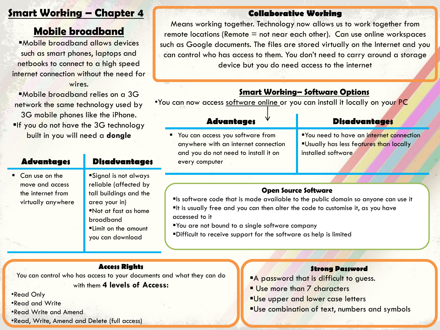#### **Smart Working – Chapter 4 6 Collaborative Working**

## Mobile broadband

Mobile broadband allows devices such as smart phones, laptops and netbooks to connect to a high speed internet connection without the need for

wires.

Mobile broadband relies on a 3G network the same technology used by 3G mobile phones like the iPhone. **If you do not have the 3G technology** built in you will need a **dongle**

#### **Advantages Disadvantages** ■ Can use on the move and access the internet from virtually anywhere Signal is not always reliable (affected by tall buildings and the

#### area your in) Not at fast as home broadband Limit on the amount you can download

Means working together. Technology now allows us to work together from remote locations (Remote  $=$  not near each other). Can use online workspaces such as Google documents. The files are stored virtually on the Internet and you can control who has access to them. You don't need to carry around a storage device but you do need access to the internet

#### Smart Working– Software Options

•You can now access software online or you can install it locally on your PC

**P** You can access you software from anywhere with an internet connection and you do not need to install it on every computer

#### **Advantages Disadvantages**

You need to have an internet connection Usually has less features than locally installed software

#### **Open Source Software**

Is software code that is made available to the public domain so anyone can use it  $I$  it is usually free and you can then alter the code to customise it, as you have accessed to it

You are not bound to a single software company

Difficult to receive support for the software as help is limited

#### **Access Rights**

You can control who has access to your documents and what they can do with them **4 levels of Access:**

•Read Only

•Read and Write

•Read Write and Amend

•Read, Write, Amend and Delete (full access)

#### **Strong Password**

- A password that is difficult to guess.
- Use more than 7 characters
- **Use upper and lower case letters**
- **Use combination of text, numbers and symbols**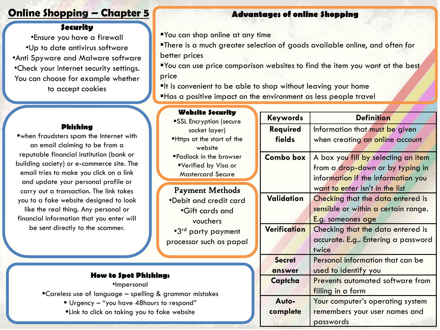#### **Online Shopping – Chapter 5 and Shopping Advantages of online Shopping**

#### **Security**

•Ensure you have a firewall •Up to date antivirus software •Anti Spyware and Malware software •Check your internet security settings. You can choose for example whether to accept cookies

You can shop online at any time

There is a much greater selection of goods available online, and often for better prices

You can use price comparison websites to find the item you want at the best price

 $\blacksquare$ It is convenient to be able to shop without leaving your home Has a positive impact on the environment as less people travel

#### **Phishing**

when fraudsters spam the Internet with an email claiming to be from a reputable financial institution (bank or building society) or e-commerce site. The email tries to make you click on a link and update your personal profile or carry out a transaction. The link takes you to a fake website designed to look like the real thing. Any personal or financial information that you enter will be sent directly to the scammer.

#### **Website Security** SSL Encryption (secure socket layer) Https at the start of the website Padlock in the browser Verified by Visa or Mastercard Secure

Payment Methods •Debit and credit card •Gift cards and vouchers •3 rd party payment processor such as papal

•Impersonal Careless use of language – spelling & grammar mistakes Urgency – "you have 48hours to respond" Link to click on taking you to fake website

| <b>Keywords</b>  | <b>Definition</b>                       |  |
|------------------|-----------------------------------------|--|
| Required         | Information that must be given          |  |
| fields           | when creating an online account         |  |
| <b>Combo box</b> | A box you fill by selecting an item     |  |
|                  | from a drop-down or by typing in        |  |
|                  | information if the information you      |  |
|                  | want to enter isn't in the list         |  |
| Validation       | Checking that the data entered is       |  |
|                  | sensible or within a certain range.     |  |
|                  | E.g. someones age                       |  |
| Verification     | Checking that the data entered is       |  |
|                  | accurate. E.g Entering a password       |  |
|                  | twice                                   |  |
| <b>Secret</b>    | Personal information that can be        |  |
| answer           | used to identify you                    |  |
| Captcha          | <b>Prevents automated software from</b> |  |
|                  | filling in a form                       |  |
| Auto-            | Your computer's operating system        |  |
| complete         | remembers your user names and           |  |
|                  | passwords                               |  |